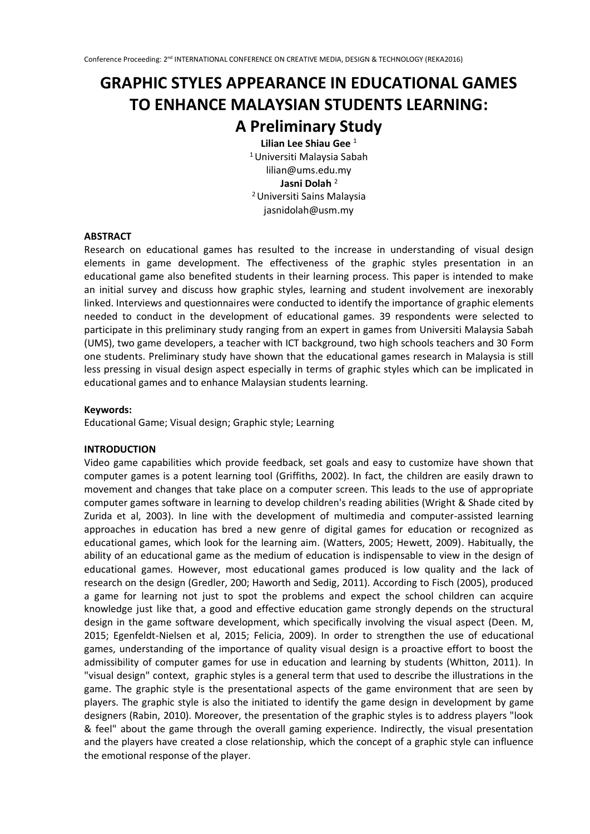# **GRAPHIC STYLES APPEARANCE IN EDUCATIONAL GAMES TO ENHANCE MALAYSIAN STUDENTS LEARNING:**

## **A Preliminary Study**

**Lilian Lee Shiau Gee** <sup>1</sup> <sup>1</sup>Universiti Malaysia Sabah lilian@ums.edu.my **Jasni Dolah** <sup>2</sup> <sup>2</sup>Universiti Sains Malaysia jasnidolah@usm.my

## **ABSTRACT**

Research on educational games has resulted to the increase in understanding of visual design elements in game development. The effectiveness of the graphic styles presentation in an educational game also benefited students in their learning process. This paper is intended to make an initial survey and discuss how graphic styles, learning and student involvement are inexorably linked. Interviews and questionnaires were conducted to identify the importance of graphic elements needed to conduct in the development of educational games. 39 respondents were selected to participate in this preliminary study ranging from an expert in games from Universiti Malaysia Sabah (UMS), two game developers, a teacher with ICT background, two high schools teachers and 30 Form one students. Preliminary study have shown that the educational games research in Malaysia is still less pressing in visual design aspect especially in terms of graphic styles which can be implicated in educational games and to enhance Malaysian students learning.

## **Keywords:**

Educational Game; Visual design; Graphic style; Learning

#### **INTRODUCTION**

Video game capabilities which provide feedback, set goals and easy to customize have shown that computer games is a potent learning tool (Griffiths, 2002). In fact, the children are easily drawn to movement and changes that take place on a computer screen. This leads to the use of appropriate computer games software in learning to develop children's reading abilities (Wright & Shade cited by Zurida et al, 2003). In line with the development of multimedia and computer-assisted learning approaches in education has bred a new genre of digital games for education or recognized as educational games, which look for the learning aim. (Watters, 2005; Hewett, 2009). Habitually, the ability of an educational game as the medium of education is indispensable to view in the design of educational games. However, most educational games produced is low quality and the lack of research on the design (Gredler, 200; Haworth and Sedig, 2011). According to Fisch (2005), produced a game for learning not just to spot the problems and expect the school children can acquire knowledge just like that, a good and effective education game strongly depends on the structural design in the game software development, which specifically involving the visual aspect (Deen. M, 2015; Egenfeldt-Nielsen et al, 2015; Felicia, 2009). In order to strengthen the use of educational games, understanding of the importance of quality visual design is a proactive effort to boost the admissibility of computer games for use in education and learning by students (Whitton, 2011). In "visual design" context, graphic styles is a general term that used to describe the illustrations in the game. The graphic style is the presentational aspects of the game environment that are seen by players. The graphic style is also the initiated to identify the game design in development by game designers (Rabin, 2010). Moreover, the presentation of the graphic styles is to address players "look & feel" about the game through the overall gaming experience. Indirectly, the visual presentation and the players have created a close relationship, which the concept of a graphic style can influence the emotional response of the player.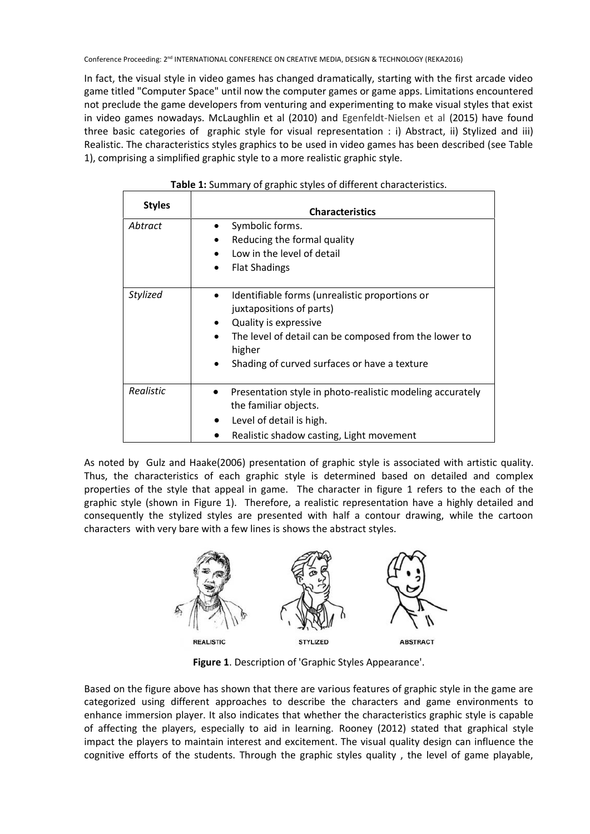In fact, the visual style in video games has changed dramatically, starting with the first arcade video game titled "Computer Space" until now the computer games or game apps. Limitations encountered not preclude the game developers from venturing and experimenting to make visual styles that exist in video games nowadays. McLaughlin et al (2010) and Egenfeldt-Nielsen et al (2015) have found three basic categories of graphic style for visual representation : i) Abstract, ii) Stylized and iii) Realistic. The characteristics styles graphics to be used in video games has been described (see Table 1), comprising a simplified graphic style to a more realistic graphic style.

| <b>Styles</b> | <b>Characteristics</b>                                                                                                                                                                                                                                |
|---------------|-------------------------------------------------------------------------------------------------------------------------------------------------------------------------------------------------------------------------------------------------------|
| Abtract       | Symbolic forms.<br>Reducing the formal quality<br>٠<br>Low in the level of detail<br>$\bullet$<br><b>Flat Shadings</b><br>$\bullet$                                                                                                                   |
| Stylized      | Identifiable forms (unrealistic proportions or<br>juxtapositions of parts)<br>Quality is expressive<br>٠<br>The level of detail can be composed from the lower to<br>$\bullet$<br>higher<br>Shading of curved surfaces or have a texture<br>$\bullet$ |
| Realistic     | Presentation style in photo-realistic modeling accurately<br>the familiar objects.<br>Level of detail is high.<br>Realistic shadow casting, Light movement                                                                                            |

As noted by Gulz and Haake(2006) presentation of graphic style is associated with artistic quality. Thus, the characteristics of each graphic style is determined based on detailed and complex properties of the style that appeal in game. The character in figure 1 refers to the each of the graphic style (shown in Figure 1). Therefore, a realistic representation have a highly detailed and consequently the stylized styles are presented with half a contour drawing, while the cartoon characters with very bare with a few lines is shows the abstract styles.



**Figure 1**. Description of 'Graphic Styles Appearance'.

Based on the figure above has shown that there are various features of graphic style in the game are categorized using different approaches to describe the characters and game environments to enhance immersion player. It also indicates that whether the characteristics graphic style is capable of affecting the players, especially to aid in learning. Rooney (2012) stated that graphical style impact the players to maintain interest and excitement. The visual quality design can influence the cognitive efforts of the students. Through the graphic styles quality , the level of game playable,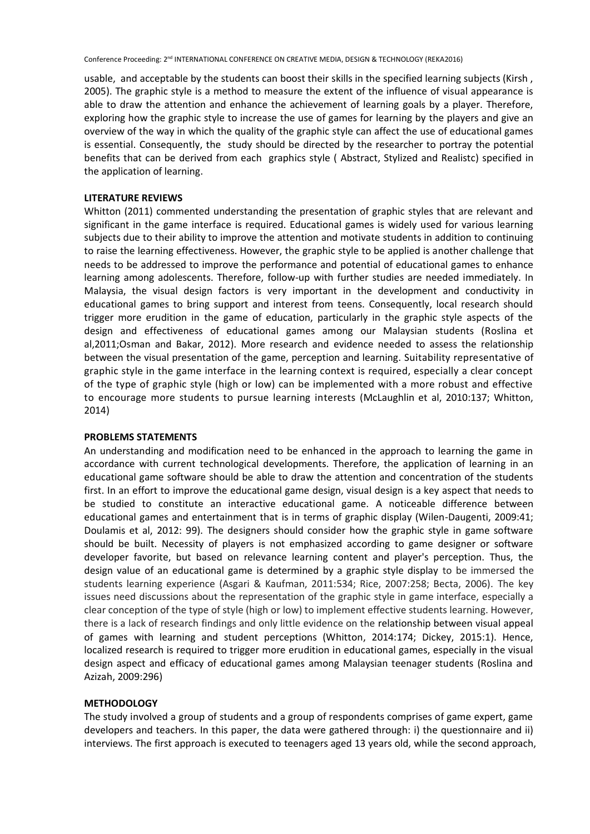usable, and acceptable by the students can boost their skills in the specified learning subjects (Kirsh , 2005). The graphic style is a method to measure the extent of the influence of visual appearance is able to draw the attention and enhance the achievement of learning goals by a player. Therefore, exploring how the graphic style to increase the use of games for learning by the players and give an overview of the way in which the quality of the graphic style can affect the use of educational games is essential. Consequently, the study should be directed by the researcher to portray the potential benefits that can be derived from each graphics style ( Abstract, Stylized and Realistc) specified in the application of learning.

#### **LITERATURE REVIEWS**

Whitton (2011) commented understanding the presentation of graphic styles that are relevant and significant in the game interface is required. Educational games is widely used for various learning subjects due to their ability to improve the attention and motivate students in addition to continuing to raise the learning effectiveness. However, the graphic style to be applied is another challenge that needs to be addressed to improve the performance and potential of educational games to enhance learning among adolescents. Therefore, follow-up with further studies are needed immediately. In Malaysia, the visual design factors is very important in the development and conductivity in educational games to bring support and interest from teens. Consequently, local research should trigger more erudition in the game of education, particularly in the graphic style aspects of the design and effectiveness of educational games among our Malaysian students (Roslina et al,2011;Osman and Bakar, 2012). More research and evidence needed to assess the relationship between the visual presentation of the game, perception and learning. Suitability representative of graphic style in the game interface in the learning context is required, especially a clear concept of the type of graphic style (high or low) can be implemented with a more robust and effective to encourage more students to pursue learning interests (McLaughlin et al, 2010:137; Whitton, 2014)

#### **PROBLEMS STATEMENTS**

An understanding and modification need to be enhanced in the approach to learning the game in accordance with current technological developments. Therefore, the application of learning in an educational game software should be able to draw the attention and concentration of the students first. In an effort to improve the educational game design, visual design is a key aspect that needs to be studied to constitute an interactive educational game. A noticeable difference between educational games and entertainment that is in terms of graphic display (Wilen-Daugenti, 2009:41; Doulamis et al, 2012: 99). The designers should consider how the graphic style in game software should be built. Necessity of players is not emphasized according to game designer or software developer favorite, but based on relevance learning content and player's perception. Thus, the design value of an educational game is determined by a graphic style display to be immersed the students learning experience (Asgari & Kaufman, 2011:534; Rice, 2007:258; Becta, 2006). The key issues need discussions about the representation of the graphic style in game interface, especially a clear conception of the type of style (high or low) to implement effective students learning. However, there is a lack of research findings and only little evidence on the relationship between visual appeal of games with learning and student perceptions (Whitton, 2014:174; Dickey, 2015:1). Hence, localized research is required to trigger more erudition in educational games, especially in the visual design aspect and efficacy of educational games among Malaysian teenager students (Roslina and Azizah, 2009:296)

#### **METHODOLOGY**

The study involved a group of students and a group of respondents comprises of game expert, game developers and teachers. In this paper, the data were gathered through: i) the questionnaire and ii) interviews. The first approach is executed to teenagers aged 13 years old, while the second approach,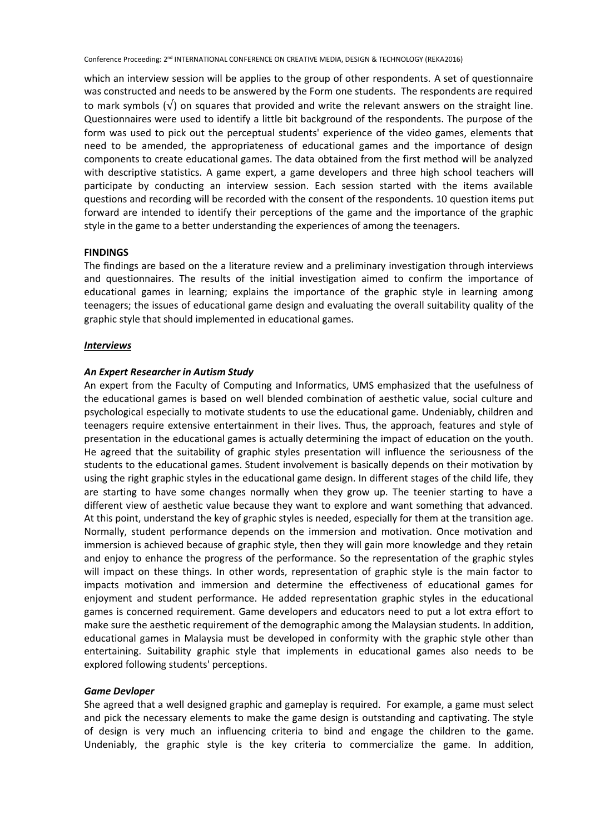which an interview session will be applies to the group of other respondents. A set of questionnaire was constructed and needs to be answered by the Form one students. The respondents are required to mark symbols (√) on squares that provided and write the relevant answers on the straight line. Questionnaires were used to identify a little bit background of the respondents. The purpose of the form was used to pick out the perceptual students' experience of the video games, elements that need to be amended, the appropriateness of educational games and the importance of design components to create educational games. The data obtained from the first method will be analyzed with descriptive statistics. A game expert, a game developers and three high school teachers will participate by conducting an interview session. Each session started with the items available questions and recording will be recorded with the consent of the respondents. 10 question items put forward are intended to identify their perceptions of the game and the importance of the graphic style in the game to a better understanding the experiences of among the teenagers.

## **FINDINGS**

The findings are based on the a literature review and a preliminary investigation through interviews and questionnaires. The results of the initial investigation aimed to confirm the importance of educational games in learning; explains the importance of the graphic style in learning among teenagers; the issues of educational game design and evaluating the overall suitability quality of the graphic style that should implemented in educational games.

## *Interviews*

## *An Expert Researcher in Autism Study*

An expert from the Faculty of Computing and Informatics, UMS emphasized that the usefulness of the educational games is based on well blended combination of aesthetic value, social culture and psychological especially to motivate students to use the educational game. Undeniably, children and teenagers require extensive entertainment in their lives. Thus, the approach, features and style of presentation in the educational games is actually determining the impact of education on the youth. He agreed that the suitability of graphic styles presentation will influence the seriousness of the students to the educational games. Student involvement is basically depends on their motivation by using the right graphic styles in the educational game design. In different stages of the child life, they are starting to have some changes normally when they grow up. The teenier starting to have a different view of aesthetic value because they want to explore and want something that advanced. At this point, understand the key of graphic styles is needed, especially for them at the transition age. Normally, student performance depends on the immersion and motivation. Once motivation and immersion is achieved because of graphic style, then they will gain more knowledge and they retain and enjoy to enhance the progress of the performance. So the representation of the graphic styles will impact on these things. In other words, representation of graphic style is the main factor to impacts motivation and immersion and determine the effectiveness of educational games for enjoyment and student performance. He added representation graphic styles in the educational games is concerned requirement. Game developers and educators need to put a lot extra effort to make sure the aesthetic requirement of the demographic among the Malaysian students. In addition, educational games in Malaysia must be developed in conformity with the graphic style other than entertaining. Suitability graphic style that implements in educational games also needs to be explored following students' perceptions.

## *Game Devloper*

She agreed that a well designed graphic and gameplay is required. For example, a game must select and pick the necessary elements to make the game design is outstanding and captivating. The style of design is very much an influencing criteria to bind and engage the children to the game. Undeniably, the graphic style is the key criteria to commercialize the game. In addition,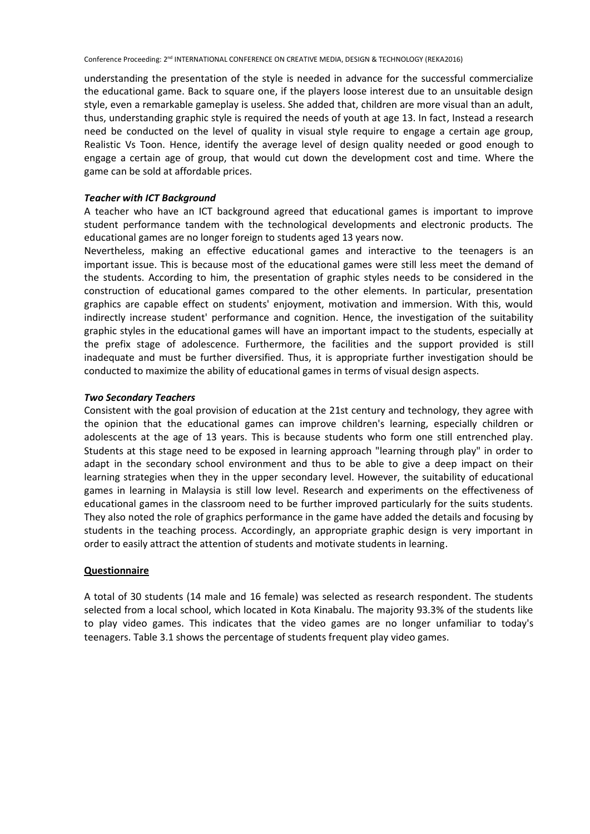understanding the presentation of the style is needed in advance for the successful commercialize the educational game. Back to square one, if the players loose interest due to an unsuitable design style, even a remarkable gameplay is useless. She added that, children are more visual than an adult, thus, understanding graphic style is required the needs of youth at age 13. In fact, Instead a research need be conducted on the level of quality in visual style require to engage a certain age group, Realistic Vs Toon. Hence, identify the average level of design quality needed or good enough to engage a certain age of group, that would cut down the development cost and time. Where the game can be sold at affordable prices.

#### *Teacher with ICT Background*

A teacher who have an ICT background agreed that educational games is important to improve student performance tandem with the technological developments and electronic products. The educational games are no longer foreign to students aged 13 years now.

Nevertheless, making an effective educational games and interactive to the teenagers is an important issue. This is because most of the educational games were still less meet the demand of the students. According to him, the presentation of graphic styles needs to be considered in the construction of educational games compared to the other elements. In particular, presentation graphics are capable effect on students' enjoyment, motivation and immersion. With this, would indirectly increase student' performance and cognition. Hence, the investigation of the suitability graphic styles in the educational games will have an important impact to the students, especially at the prefix stage of adolescence. Furthermore, the facilities and the support provided is still inadequate and must be further diversified. Thus, it is appropriate further investigation should be conducted to maximize the ability of educational games in terms of visual design aspects.

#### *Two Secondary Teachers*

Consistent with the goal provision of education at the 21st century and technology, they agree with the opinion that the educational games can improve children's learning, especially children or adolescents at the age of 13 years. This is because students who form one still entrenched play. Students at this stage need to be exposed in learning approach "learning through play" in order to adapt in the secondary school environment and thus to be able to give a deep impact on their learning strategies when they in the upper secondary level. However, the suitability of educational games in learning in Malaysia is still low level. Research and experiments on the effectiveness of educational games in the classroom need to be further improved particularly for the suits students. They also noted the role of graphics performance in the game have added the details and focusing by students in the teaching process. Accordingly, an appropriate graphic design is very important in order to easily attract the attention of students and motivate students in learning.

## **Questionnaire**

A total of 30 students (14 male and 16 female) was selected as research respondent. The students selected from a local school, which located in Kota Kinabalu. The majority 93.3% of the students like to play video games. This indicates that the video games are no longer unfamiliar to today's teenagers. Table 3.1 shows the percentage of students frequent play video games.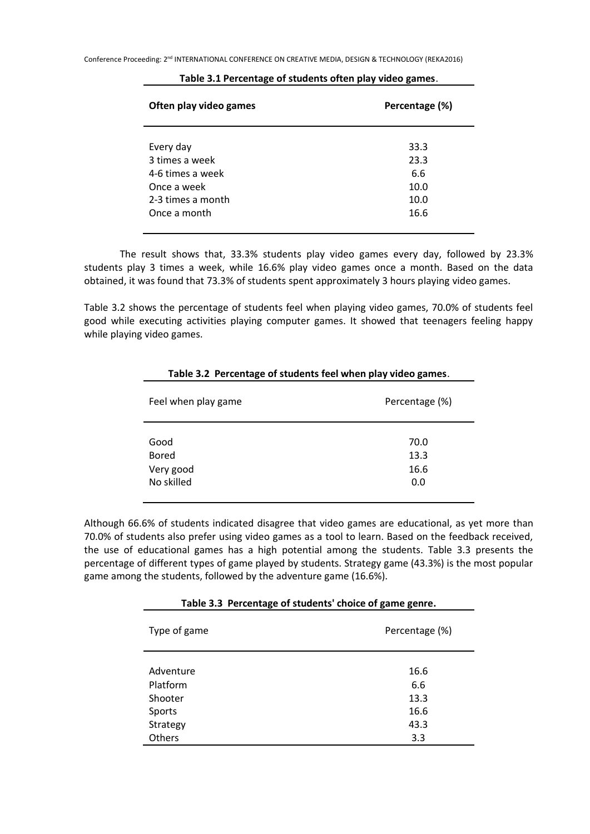| Often play video games | Percentage (%) |
|------------------------|----------------|
| Every day              | 33.3           |
| 3 times a week         | 23.3           |
| 4-6 times a week       | 6.6            |
| Once a week            | 10.0           |
| 2-3 times a month      | 10.0           |
| Once a month           | 16.6           |

#### **Table 3.1 Percentage of students often play video games**.

The result shows that, 33.3% students play video games every day, followed by 23.3% students play 3 times a week, while 16.6% play video games once a month. Based on the data obtained, it was found that 73.3% of students spent approximately 3 hours playing video games.

Table 3.2 shows the percentage of students feel when playing video games, 70.0% of students feel good while executing activities playing computer games. It showed that teenagers feeling happy while playing video games.

| Feel when play game | Percentage (%) |  |
|---------------------|----------------|--|
| Good                | 70.0           |  |
| <b>Bored</b>        | 13.3           |  |
| Very good           | 16.6           |  |
| No skilled          | 0.0            |  |

## **Table 3.2 Percentage of students feel when play video games**.

Although 66.6% of students indicated disagree that video games are educational, as yet more than 70.0% of students also prefer using video games as a tool to learn. Based on the feedback received, the use of educational games has a high potential among the students. Table 3.3 presents the percentage of different types of game played by students. Strategy game (43.3%) is the most popular game among the students, followed by the adventure game (16.6%).

#### **Table 3.3 Percentage of students' choice of game genre.**

| Type of game | Percentage (%) |  |
|--------------|----------------|--|
| Adventure    | 16.6           |  |
| Platform     | 6.6            |  |
| Shooter      | 13.3           |  |
| Sports       | 16.6           |  |
| Strategy     | 43.3           |  |
| Others       | 3.3            |  |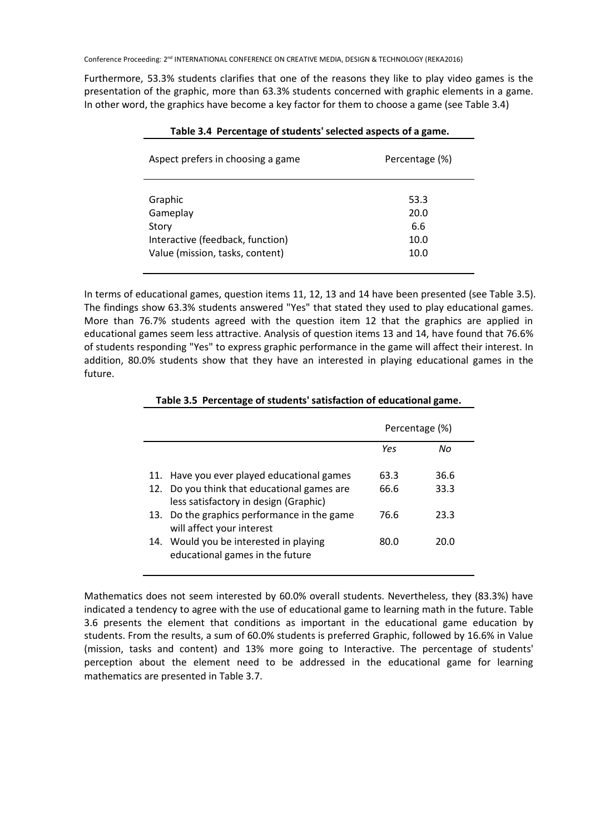Furthermore, 53.3% students clarifies that one of the reasons they like to play video games is the presentation of the graphic, more than 63.3% students concerned with graphic elements in a game. In other word, the graphics have become a key factor for them to choose a game (see Table 3.4)

| Percentage (%)                      |
|-------------------------------------|
| 53.3<br>20.0<br>6.6<br>10.0<br>10.0 |
|                                     |

In terms of educational games, question items 11, 12, 13 and 14 have been presented (see Table 3.5). The findings show 63.3% students answered "Yes" that stated they used to play educational games. More than 76.7% students agreed with the question item 12 that the graphics are applied in educational games seem less attractive. Analysis of question items 13 and 14, have found that 76.6% of students responding "Yes" to express graphic performance in the game will affect their interest. In addition, 80.0% students show that they have an interested in playing educational games in the future.

|                                                                                      | Percentage (%) |      |
|--------------------------------------------------------------------------------------|----------------|------|
|                                                                                      | Yes            | Nο   |
| 11. Have you ever played educational games                                           | 63.3           | 36.6 |
| 12. Do you think that educational games are<br>less satisfactory in design (Graphic) | 66.6           | 33.3 |
| 13. Do the graphics performance in the game<br>will affect your interest             | 76.6           | 23.3 |
| 14. Would you be interested in playing<br>educational games in the future            | 80.0           | 20.O |

## **Table 3.5 Percentage of students' satisfaction of educational game.**

Mathematics does not seem interested by 60.0% overall students. Nevertheless, they (83.3%) have indicated a tendency to agree with the use of educational game to learning math in the future. Table 3.6 presents the element that conditions as important in the educational game education by students. From the results, a sum of 60.0% students is preferred Graphic, followed by 16.6% in Value (mission, tasks and content) and 13% more going to Interactive. The percentage of students' perception about the element need to be addressed in the educational game for learning mathematics are presented in Table 3.7.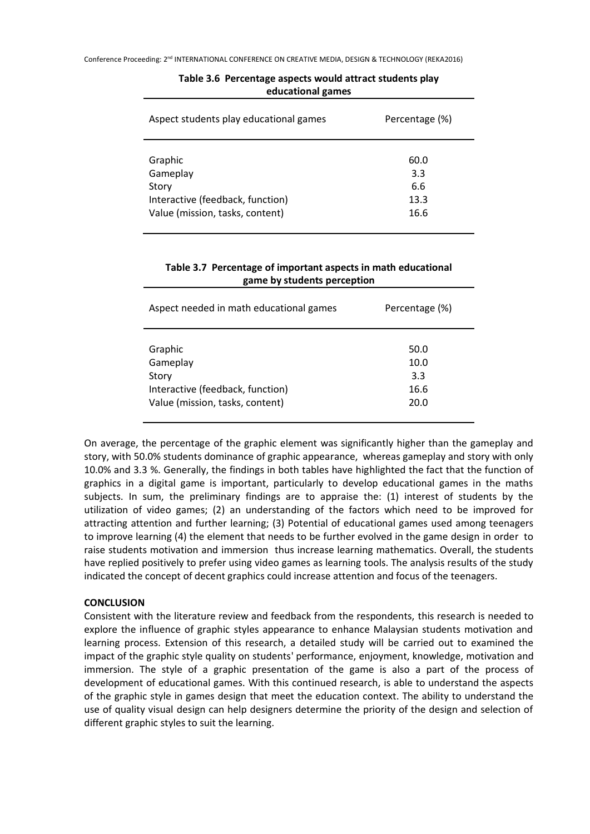| Aspect students play educational games | Percentage (%) |
|----------------------------------------|----------------|
| Graphic                                | 60.0           |
| Gameplay                               | 3.3            |
| Story                                  | 6.6            |
| Interactive (feedback, function)       | 13.3           |
| Value (mission, tasks, content)        | 16.6           |

## **Table 3.6 Percentage aspects would attract students play educational games**

## **Table 3.7 Percentage of important aspects in math educational game by students perception**

| Aspect needed in math educational games | Percentage (%) |
|-----------------------------------------|----------------|
| Graphic                                 | 50.0           |
| Gameplay                                | 10.0           |
| Story                                   | 3.3            |
| Interactive (feedback, function)        | 16.6           |
| Value (mission, tasks, content)         | 20.0           |

On average, the percentage of the graphic element was significantly higher than the gameplay and story, with 50.0% students dominance of graphic appearance, whereas gameplay and story with only 10.0% and 3.3 %. Generally, the findings in both tables have highlighted the fact that the function of graphics in a digital game is important, particularly to develop educational games in the maths subjects. In sum, the preliminary findings are to appraise the: (1) interest of students by the utilization of video games; (2) an understanding of the factors which need to be improved for attracting attention and further learning; (3) Potential of educational games used among teenagers to improve learning (4) the element that needs to be further evolved in the game design in order to raise students motivation and immersion thus increase learning mathematics. Overall, the students have replied positively to prefer using video games as learning tools. The analysis results of the study indicated the concept of decent graphics could increase attention and focus of the teenagers.

## **CONCLUSION**

Consistent with the literature review and feedback from the respondents, this research is needed to explore the influence of graphic styles appearance to enhance Malaysian students motivation and learning process. Extension of this research, a detailed study will be carried out to examined the impact of the graphic style quality on students' performance, enjoyment, knowledge, motivation and immersion. The style of a graphic presentation of the game is also a part of the process of development of educational games. With this continued research, is able to understand the aspects of the graphic style in games design that meet the education context. The ability to understand the use of quality visual design can help designers determine the priority of the design and selection of different graphic styles to suit the learning.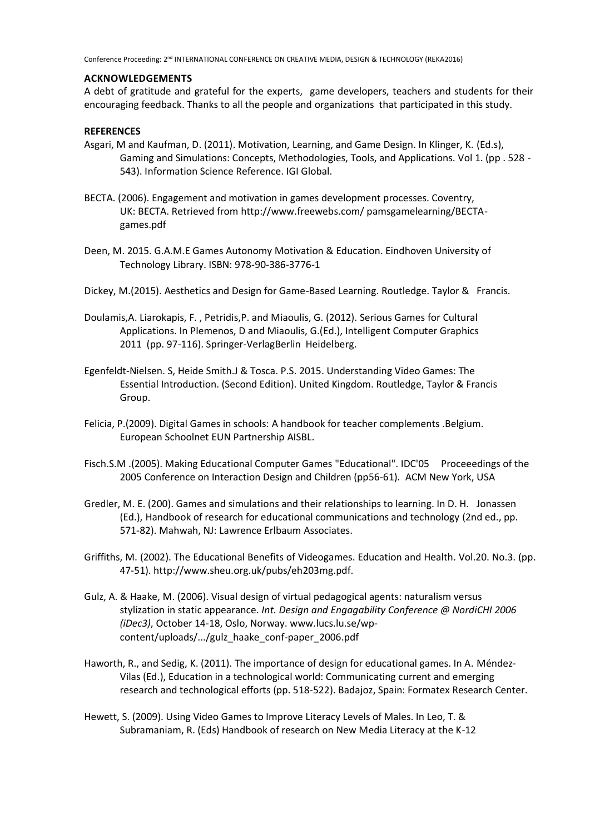#### **ACKNOWLEDGEMENTS**

A debt of gratitude and grateful for the experts, game developers, teachers and students for their encouraging feedback. Thanks to all the people and organizations that participated in this study.

## **REFERENCES**

- Asgari, M and Kaufman, D. (2011). Motivation, Learning, and Game Design. In Klinger, K. (Ed.s), Gaming and Simulations: Concepts, Methodologies, Tools, and Applications. Vol 1. (pp . 528 - 543). Information Science Reference. IGI Global.
- BECTA. (2006). Engagement and motivation in games development processes. Coventry, UK: BECTA. Retrieved from http://www.freewebs.com/ pamsgamelearning/BECTAgames.pdf
- Deen, M. 2015. G.A.M.E Games Autonomy Motivation & Education. Eindhoven University of Technology Library. ISBN: 978-90-386-3776-1
- Dickey, M.(2015). Aesthetics and Design for Game-Based Learning. Routledge. Taylor & Francis.
- Doulamis,A. Liarokapis, F. , Petridis,P. and Miaoulis, G. (2012). Serious Games for Cultural Applications. In Plemenos, D and Miaoulis, G.(Ed.), Intelligent Computer Graphics 2011 (pp. 97-116). Springer-VerlagBerlin Heidelberg.
- Egenfeldt-Nielsen. S, Heide Smith.J & Tosca. P.S. 2015. Understanding Video Games: The Essential Introduction. (Second Edition). United Kingdom. Routledge, Taylor & Francis Group.
- Felicia, P.(2009). Digital Games in schools: A handbook for teacher complements .Belgium. European Schoolnet EUN Partnership AISBL.
- Fisch.S.M .(2005). Making Educational Computer Games "Educational". IDC'05 Proceeedings of the 2005 Conference on Interaction Design and Children (pp56-61). ACM New York, USA
- Gredler, M. E. (200). Games and simulations and their relationships to learning. In D. H. Jonassen (Ed.), Handbook of research for educational communications and technology (2nd ed., pp. 571-82). Mahwah, NJ: Lawrence Erlbaum Associates.
- Griffiths, M. (2002). The Educational Benefits of Videogames. Education and Health. Vol.20. No.3. (pp. 47-51). http://www.sheu.org.uk/pubs/eh203mg.pdf.
- Gulz, A. & Haake, M. (2006). Visual design of virtual pedagogical agents: naturalism versus stylization in static appearance. *Int. Design and Engagability Conference @ NordiCHI 2006 (iDec3)*, October 14-18, Oslo, Norway. www.lucs.lu.se/wpcontent/uploads/.../gulz\_haake\_conf-paper\_2006.pdf
- Haworth, R., and Sedig, K. (2011). The importance of design for educational games. In A. Méndez-Vilas (Ed.), Education in a technological world: Communicating current and emerging research and technological efforts (pp. 518-522). Badajoz, Spain: Formatex Research Center.
- Hewett, S. (2009). Using Video Games to Improve Literacy Levels of Males. In Leo, T. & Subramaniam, R. (Eds) Handbook of research on New Media Literacy at the K-12